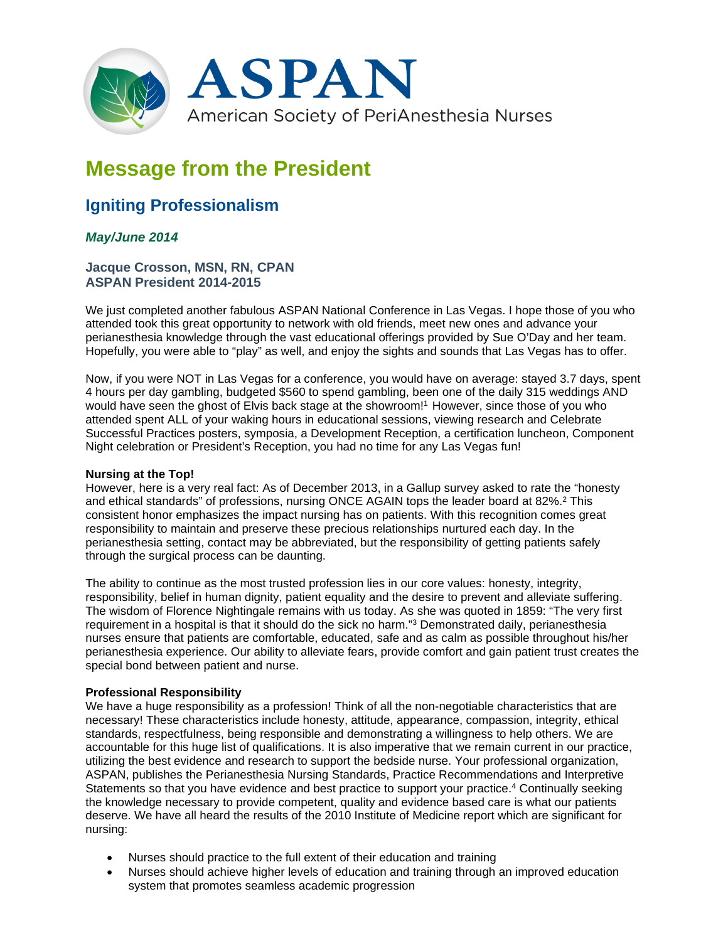

# **Message from the President**

## **Igniting Professionalism**

### *May/June 2014*

#### **Jacque Crosson, MSN, RN, CPAN ASPAN President 2014-2015**

We just completed another fabulous ASPAN National Conference in Las Vegas. I hope those of you who attended took this great opportunity to network with old friends, meet new ones and advance your perianesthesia knowledge through the vast educational offerings provided by Sue O'Day and her team. Hopefully, you were able to "play" as well, and enjoy the sights and sounds that Las Vegas has to offer.

Now, if you were NOT in Las Vegas for a conference, you would have on average: stayed 3.7 days, spent 4 hours per day gambling, budgeted \$560 to spend gambling, been one of the daily 315 weddings AND would have seen the ghost of Elvis back stage at the showroom!<sup>1</sup> However, since those of you who attended spent ALL of your waking hours in educational sessions, viewing research and Celebrate Successful Practices posters, symposia, a Development Reception, a certification luncheon, Component Night celebration or President's Reception, you had no time for any Las Vegas fun!

#### **Nursing at the Top!**

However, here is a very real fact: As of December 2013, in a Gallup survey asked to rate the "honesty and ethical standards" of professions, nursing ONCE AGAIN tops the leader board at 82%.2 This consistent honor emphasizes the impact nursing has on patients. With this recognition comes great responsibility to maintain and preserve these precious relationships nurtured each day. In the perianesthesia setting, contact may be abbreviated, but the responsibility of getting patients safely through the surgical process can be daunting.

The ability to continue as the most trusted profession lies in our core values: honesty, integrity, responsibility, belief in human dignity, patient equality and the desire to prevent and alleviate suffering. The wisdom of Florence Nightingale remains with us today. As she was quoted in 1859: "The very first requirement in a hospital is that it should do the sick no harm."3 Demonstrated daily, perianesthesia nurses ensure that patients are comfortable, educated, safe and as calm as possible throughout his/her perianesthesia experience. Our ability to alleviate fears, provide comfort and gain patient trust creates the special bond between patient and nurse.

#### **Professional Responsibility**

We have a huge responsibility as a profession! Think of all the non-negotiable characteristics that are necessary! These characteristics include honesty, attitude, appearance, compassion, integrity, ethical standards, respectfulness, being responsible and demonstrating a willingness to help others. We are accountable for this huge list of qualifications. It is also imperative that we remain current in our practice, utilizing the best evidence and research to support the bedside nurse. Your professional organization, ASPAN, publishes the Perianesthesia Nursing Standards, Practice Recommendations and Interpretive Statements so that you have evidence and best practice to support your practice.4 Continually seeking the knowledge necessary to provide competent, quality and evidence based care is what our patients deserve. We have all heard the results of the 2010 Institute of Medicine report which are significant for nursing:

- Nurses should practice to the full extent of their education and training
- Nurses should achieve higher levels of education and training through an improved education system that promotes seamless academic progression